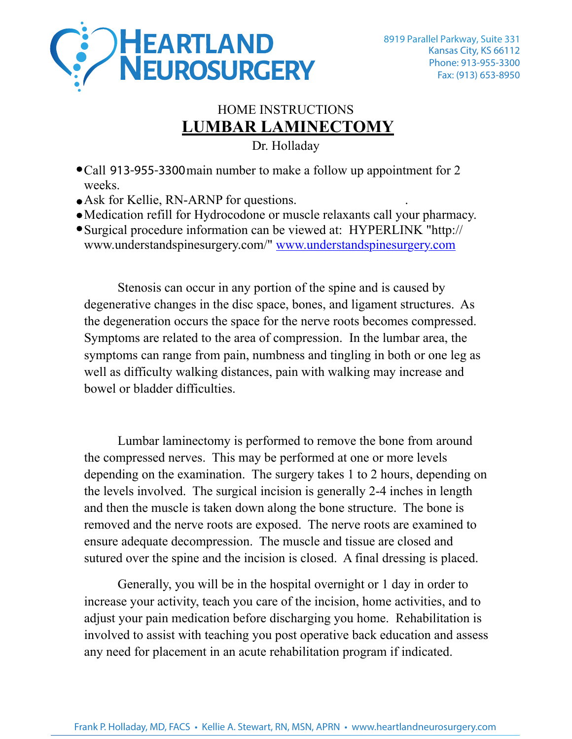

## HOME INSTRUCTIONS **LUMBAR LAMINECTOMY**

Dr. Holladay

- Call **913-955-3300**main number to make a follow up appointment for 2 weeks.
- Ask for Kellie, RN-ARNP for questions.
- Medication refill for Hydrocodone or muscle relaxants call your pharmacy.
- Surgical procedure information can be viewed at: HYPERLINK "http:// www.understandspinesurgery.com/" www.understandspinesurgery.com

Stenosis can occur in any portion of the spine and is caused by degenerative changes in the disc space, bones, and ligament structures. As the degeneration occurs the space for the nerve roots becomes compressed. Symptoms are related to the area of compression. In the lumbar area, the symptoms can range from pain, numbness and tingling in both or one leg as well as difficulty walking distances, pain with walking may increase and bowel or bladder difficulties.

Lumbar laminectomy is performed to remove the bone from around the compressed nerves. This may be performed at one or more levels depending on the examination. The surgery takes 1 to 2 hours, depending on the levels involved. The surgical incision is generally 2-4 inches in length and then the muscle is taken down along the bone structure. The bone is removed and the nerve roots are exposed. The nerve roots are examined to ensure adequate decompression. The muscle and tissue are closed and sutured over the spine and the incision is closed. A final dressing is placed.

Generally, you will be in the hospital overnight or 1 day in order to increase your activity, teach you care of the incision, home activities, and to adjust your pain medication before discharging you home. Rehabilitation is involved to assist with teaching you post operative back education and assess any need for placement in an acute rehabilitation program if indicated.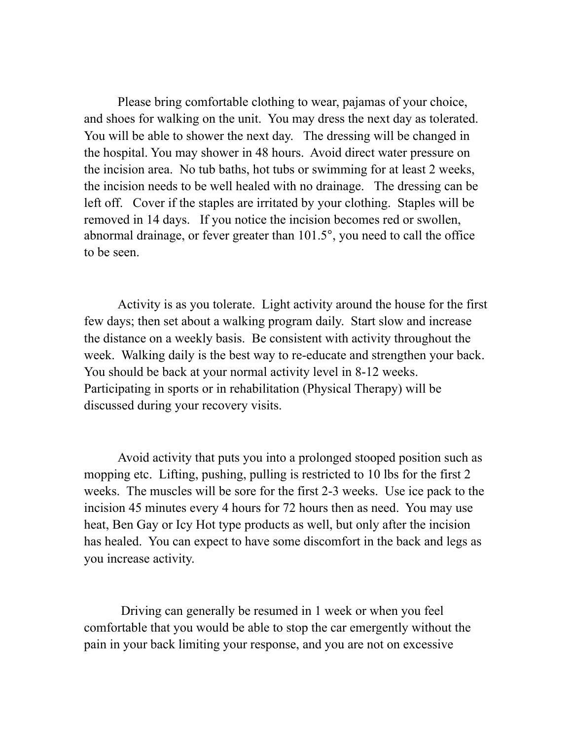Please bring comfortable clothing to wear, pajamas of your choice, and shoes for walking on the unit. You may dress the next day as tolerated. You will be able to shower the next day. The dressing will be changed in the hospital. You may shower in 48 hours. Avoid direct water pressure on the incision area. No tub baths, hot tubs or swimming for at least 2 weeks, the incision needs to be well healed with no drainage. The dressing can be left off. Cover if the staples are irritated by your clothing. Staples will be removed in 14 days. If you notice the incision becomes red or swollen, abnormal drainage, or fever greater than 101.5°, you need to call the office to be seen.

Activity is as you tolerate. Light activity around the house for the first few days; then set about a walking program daily. Start slow and increase the distance on a weekly basis. Be consistent with activity throughout the week. Walking daily is the best way to re-educate and strengthen your back. You should be back at your normal activity level in 8-12 weeks. Participating in sports or in rehabilitation (Physical Therapy) will be discussed during your recovery visits.

Avoid activity that puts you into a prolonged stooped position such as mopping etc. Lifting, pushing, pulling is restricted to 10 lbs for the first 2 weeks. The muscles will be sore for the first 2-3 weeks. Use ice pack to the incision 45 minutes every 4 hours for 72 hours then as need. You may use heat, Ben Gay or Icy Hot type products as well, but only after the incision has healed. You can expect to have some discomfort in the back and legs as you increase activity.

 Driving can generally be resumed in 1 week or when you feel comfortable that you would be able to stop the car emergently without the pain in your back limiting your response, and you are not on excessive